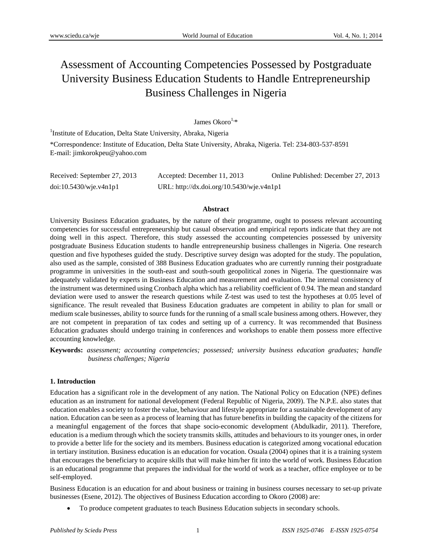# Assessment of Accounting Competencies Possessed by Postgraduate University Business Education Students to Handle Entrepreneurship Business Challenges in Nigeria

# Iames Okoro $1, *$

<sup>1</sup>Institute of Education, Delta State University, Abraka, Nigeria

\*Correspondence: Institute of Education, Delta State University, Abraka, Nigeria. Tel: 234-803-537-8591 E-mail: jimkorokpeu@yahoo.com

| Received: September 27, 2013 | Accepted: December 11, 2013               | Online Published: December 27, 2013 |
|------------------------------|-------------------------------------------|-------------------------------------|
| doi:10.5430/wje.v4n1p1       | URL: http://dx.doi.org/10.5430/wje.v4n1p1 |                                     |

#### **Abstract**

University Business Education graduates, by the nature of their programme, ought to possess relevant accounting competencies for successful entrepreneurship but casual observation and empirical reports indicate that they are not doing well in this aspect. Therefore, this study assessed the accounting competencies possessed by university postgraduate Business Education students to handle entrepreneurship business challenges in Nigeria. One research question and five hypotheses guided the study. Descriptive survey design was adopted for the study. The population, also used as the sample, consisted of 388 Business Education graduates who are currently running their postgraduate programme in universities in the south-east and south-south geopolitical zones in Nigeria. The questionnaire was adequately validated by experts in Business Education and measurement and evaluation. The internal consistency of the instrument was determined using Cronbach alpha which has a reliability coefficient of 0.94. The mean and standard deviation were used to answer the research questions while Z-test was used to test the hypotheses at 0.05 level of significance. The result revealed that Business Education graduates are competent in ability to plan for small or medium scale businesses, ability to source funds for the running of a small scale business among others. However, they are not competent in preparation of tax codes and setting up of a currency. It was recommended that Business Education graduates should undergo training in conferences and workshops to enable them possess more effective accounting knowledge.

**Keywords:** *assessment; accounting competencies; possessed; university business education graduates; handle business challenges; Nigeria*

#### **1. Introduction**

Education has a significant role in the development of any nation. The National Policy on Education (NPE) defines education as an instrument for national development (Federal Republic of Nigeria, 2009). The N.P.E. also states that education enables a society to foster the value, behaviour and lifestyle appropriate for a sustainable development of any nation. Education can be seen as a process of learning that has future benefits in building the capacity of the citizens for a meaningful engagement of the forces that shape socio-economic development (Abdulkadir, 2011). Therefore, education is a medium through which the society transmits skills, attitudes and behaviours to its younger ones, in order to provide a better life for the society and its members. Business education is categorized among vocational education in tertiary institution. Business education is an education for vocation. Osuala (2004) opines that it is a training system that encourages the beneficiary to acquire skills that will make him/her fit into the world of work. Business Education is an educational programme that prepares the individual for the world of work as a teacher, office employee or to be self-employed.

Business Education is an education for and about business or training in business courses necessary to set-up private businesses (Esene, 2012). The objectives of Business Education according to Okoro (2008) are:

To produce competent graduates to teach Business Education subjects in secondary schools.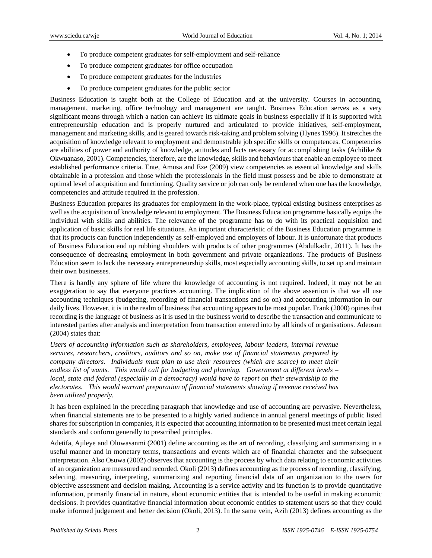- To produce competent graduates for self-employment and self-reliance
- To produce competent graduates for office occupation
- To produce competent graduates for the industries
- To produce competent graduates for the public sector

Business Education is taught both at the College of Education and at the university. Courses in accounting, management, marketing, office technology and management are taught. Business Education serves as a very significant means through which a nation can achieve its ultimate goals in business especially if it is supported with entrepreneurship education and is properly nurtured and articulated to provide initiatives, self-employment, management and marketing skills, and is geared towards risk-taking and problem solving (Hynes 1996). It stretches the acquisition of knowledge relevant to employment and demonstrable job specific skills or competences. Competencies are abilities of power and authority of knowledge, attitudes and facts necessary for accomplishing tasks (Achilike & Okwuanaso, 2001). Competencies, therefore, are the knowledge, skills and behaviours that enable an employee to meet established performance criteria. Ente, Amusa and Eze (2009) view competencies as essential knowledge and skills obtainable in a profession and those which the professionals in the field must possess and be able to demonstrate at optimal level of acquisition and functioning. Quality service or job can only be rendered when one has the knowledge, competencies and attitude required in the profession.

Business Education prepares its graduates for employment in the work-place, typical existing business enterprises as well as the acquisition of knowledge relevant to employment. The Business Education programme basically equips the individual with skills and abilities. The relevance of the programme has to do with its practical acquisition and application of basic skills for real life situations. An important characteristic of the Business Education programme is that its products can function independently as self-employed and employers of labour. It is unfortunate that products of Business Education end up rubbing shoulders with products of other programmes (Abdulkadir, 2011). It has the consequence of decreasing employment in both government and private organizations. The products of Business Education seem to lack the necessary entrepreneurship skills, most especially accounting skills, to set up and maintain their own businesses.

There is hardly any sphere of life where the knowledge of accounting is not required. Indeed, it may not be an exaggeration to say that everyone practices accounting. The implication of the above assertion is that we all use accounting techniques (budgeting, recording of financial transactions and so on) and accounting information in our daily lives. However, it is in the realm of business that accounting appears to be most popular. Frank (2000) opines that recording is the language of business as it is used in the business world to describe the transaction and communicate to interested parties after analysis and interpretation from transaction entered into by all kinds of organisations. Adeosun  $(2004)$  states that:

*Users of accounting information such as shareholders, employees, labour leaders, internal revenue services, researchers, creditors, auditors and so on, make use of financial statements prepared by company directors. Individuals must plan to use their resources (which are scarce) to meet their endless list of wants. This would call for budgeting and planning. Government at different levels – local, state and federal (especially in a democracy) would have to report on their stewardship to the electorates. This would warrant preparation of financial statements showing if revenue received has been utilized properly.* 

It has been explained in the preceding paragraph that knowledge and use of accounting are pervasive. Nevertheless, when financial statements are to be presented to a highly varied audience in annual general meetings of public listed shares for subscription in companies, it is expected that accounting information to be presented must meet certain legal standards and conform generally to prescribed principles.

Adetifa, Ajileye and Oluwasanmi (2001) define accounting as the art of recording, classifying and summarizing in a useful manner and in monetary terms, transactions and events which are of financial character and the subsequent interpretation. Also Osuwa (2002) observes that accounting is the process by which data relating to economic activities of an organization are measured and recorded. Okoli (2013) defines accounting as the process of recording, classifying, selecting, measuring, interpreting, summarizing and reporting financial data of an organization to the users for objective assessment and decision making. Accounting is a service activity and its function is to provide quantitative information, primarily financial in nature, about economic entities that is intended to be useful in making economic decisions. It provides quantitative financial information about economic entities to statement users so that they could make informed judgement and better decision (Okoli, 2013). In the same vein, Azih (2013) defines accounting as the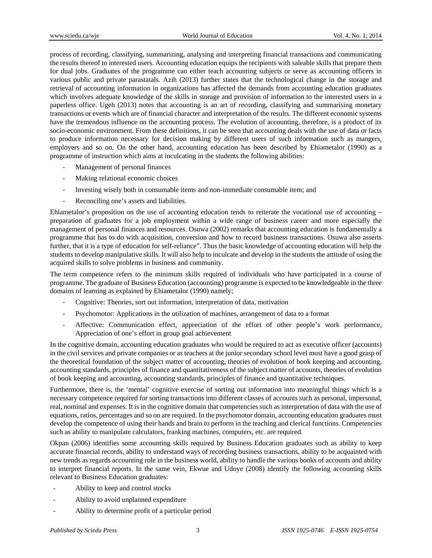process of recording, classifying, summarizing, analysing and interpreting financial transactions and communicating the results thereof to interested users. Accounting education equips the recipients with saleable skills that prepare them for dual jobs. Graduates of the programme can either teach accounting subjects or serve as accounting officers in various public and private parastatals. Azih (2013) further states that the technological change in the storage and retrieval of accounting information in organizations has affected the demands from accounting education graduates which involves adequate knowledge of the skills in storage and provision of information to the interested users in a paperless office. Ugeh (2013) notes that accounting is an art of recording, classifying and summarising monetary transactions or events which are of financial character and interpretation of the results. The different economic systems have the tremendous influence on the accounting process. The evolution of accounting, therefore, is a product of its socio-economic environment. From these definitions, it can be seen that accounting deals with the use of data or facts to produce information necessary for decision making by different users of such information such as mangers, employers and so on. On the other hand, accounting education has been described by Ehiametalor (1990) as a programme of instruction which aims at inculcating in the students the following abilities:

- Management of personal finances
- Making relational economic choices
- Investing wisely both in consumable items and non-immediate consumable item; and
- Reconciling one's assets and liabilities.

Ehiametalor's proposition on the use of accounting education tends to reiterate the vocational use of accounting – preparation of graduates for a job employment within a wide range of business career and more especially the management of personal finances and resources. Osuwa (2002) remarks that accounting education is fundamentally a programme that has to do with acquisition, conversion and how to record business transactions. Osuwa also asserts further, that it is a type of education for self-reliance". Thus the basic knowledge of accounting education will help the students to develop manipulative skills. It will also help to inculcate and develop in the students the attitude of using the acquired skills to solve problems in business and community.

The term competence refers to the minimum skills required of individuals who have participated in a course of programme. The graduate of Business Education (accounting) programme is expected to be knowledgeable in the three domains of learning as explained by Ehiametalor (1990) namely;

- Cognitive: Theories, sort out information, interpretation of data, motivation
- Psychomotor: Applications in the utilization of machines, arrangement of data to a format
- Affective: Communication effect, appreciation of the effort of other people's work performance, Appreciation of one's effort in group goal achievement

In the cognitive domain, accounting education graduates who would be required to act as executive officer (accounts) in the civil services and private companies or as teachers at the junior secondary school level must have a good grasp of the theoretical foundation of the subject matter of accounting, theories of evolution of book keeping and accounting, accounting standards, principles of finance and quantitativeness of the subject matter of accounts, theories of evolution of book keeping and accounting, accounting standards, principles of finance and quantitative techniques.

Furthermore, there is, the 'mental' cognitive exercise of sorting out information into meaningful things which is a necessary competence required for sorting transactions into different classes of accounts such as personal, impersonal, real, nominal and expenses. It is in the cognitive domain that competencies such as interpretation of data with the use of equations, ratios, percentages and so on are required. In the psychomotor domain, accounting education graduates must develop the competence of using their hands and brain to perform in the teaching and clerical functions. Competencies such as ability to manipulate calculators, franking machines, computers, etc. are required.

Okpan (2006) identifies some accounting skills required by Business Education graduates such as ability to keep accurate financial records, ability to understand ways of recording business transactions, ability to be acquainted with new trends as regards accounting role in the business world, ability to handle the various books of accounts and ability to interpret financial reports. In the same vein, Ekwue and Udoye (2008) identify the following accounting skills relevant to Business Education graduates:

- Ability to keep and control stocks
- Ability to avoid unplanned expenditure
- Ability to determine profit of a particular period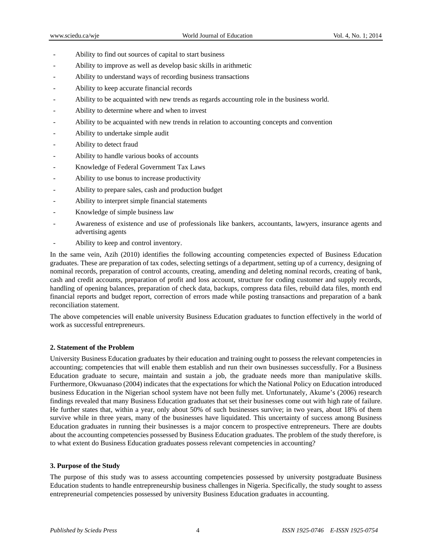- Ability to find out sources of capital to start business
- Ability to improve as well as develop basic skills in arithmetic
- Ability to understand ways of recording business transactions
- Ability to keep accurate financial records
- Ability to be acquainted with new trends as regards accounting role in the business world.
- Ability to determine where and when to invest
- Ability to be acquainted with new trends in relation to accounting concepts and convention
- Ability to undertake simple audit
- Ability to detect fraud
- Ability to handle various books of accounts
- Knowledge of Federal Government Tax Laws
- Ability to use bonus to increase productivity
- Ability to prepare sales, cash and production budget
- Ability to interpret simple financial statements
- Knowledge of simple business law
- Awareness of existence and use of professionals like bankers, accountants, lawyers, insurance agents and advertising agents
- Ability to keep and control inventory.

In the same vein, Azih (2010) identifies the following accounting competencies expected of Business Education graduates. These are preparation of tax codes, selecting settings of a department, setting up of a currency, designing of nominal records, preparation of control accounts, creating, amending and deleting nominal records, creating of bank, cash and credit accounts, preparation of profit and loss account, structure for coding customer and supply records, handling of opening balances, preparation of check data, backups, compress data files, rebuild data files, month end financial reports and budget report, correction of errors made while posting transactions and preparation of a bank reconciliation statement.

The above competencies will enable university Business Education graduates to function effectively in the world of work as successful entrepreneurs.

#### **2. Statement of the Problem**

University Business Education graduates by their education and training ought to possess the relevant competencies in accounting; competencies that will enable them establish and run their own businesses successfully. For a Business Education graduate to secure, maintain and sustain a job, the graduate needs more than manipulative skills. Furthermore, Okwuanaso (2004) indicates that the expectations for which the National Policy on Education introduced business Education in the Nigerian school system have not been fully met. Unfortunately, Akume's (2006) research findings revealed that many Business Education graduates that set their businesses come out with high rate of failure. He further states that, within a year, only about 50% of such businesses survive; in two years, about 18% of them survive while in three years, many of the businesses have liquidated. This uncertainty of success among Business Education graduates in running their businesses is a major concern to prospective entrepreneurs. There are doubts about the accounting competencies possessed by Business Education graduates. The problem of the study therefore, is to what extent do Business Education graduates possess relevant competencies in accounting?

#### **3. Purpose of the Study**

The purpose of this study was to assess accounting competencies possessed by university postgraduate Business Education students to handle entrepreneurship business challenges in Nigeria. Specifically, the study sought to assess entrepreneurial competencies possessed by university Business Education graduates in accounting.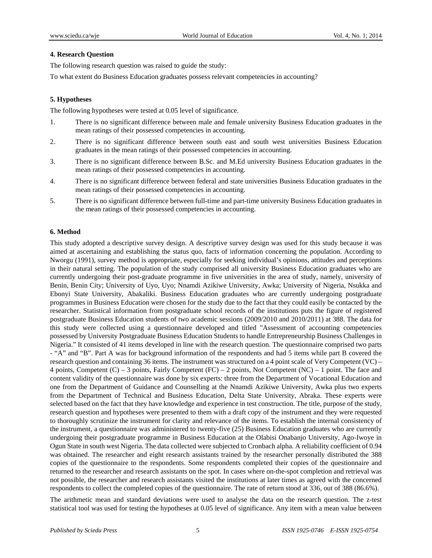## **4. Research Question**

The following research question was raised to guide the study:

To what extent do Business Education graduates possess relevant competencies in accounting?

# **5. Hypotheses**

The following hypotheses were tested at 0.05 level of significance.

- 1. There is no significant difference between male and female university Business Education graduates in the mean ratings of their possessed competencies in accounting.
- 2. There is no significant difference between south east and south west universities Business Education graduates in the mean ratings of their possessed competencies in accounting.
- 3. There is no significant difference between B.Sc. and M.Ed university Business Education graduates in the mean ratings of their possessed competencies in accounting.
- 4. There is no significant difference between federal and state universities Business Education graduates in the mean ratings of their possessed competencies in accounting.
- 5. There is no significant difference between full-time and part-time university Business Education graduates in the mean ratings of their possessed competencies in accounting.

## **6. Method**

This study adopted a descriptive survey design. A descriptive survey design was used for this study because it was aimed at ascertaining and establishing the status quo, facts of information concerning the population. According to Nworgu (1991), survey method is appropriate, especially for seeking individual's opinions, attitudes and perceptions in their natural setting. The population of the study comprised all university Business Education graduates who are currently undergoing their post-graduate programme in five universities in the area of study, namely, university of Benin, Benin City; University of Uyo, Uyo; Nnamdi Azikiwe University, Awka; University of Nigeria, Nsukka and Ebonyi State University, Abakaliki. Business Education graduates who are currently undergoing postgraduate programmes in Business Education were chosen for the study due to the fact that they could easily be contacted by the researcher. Statistical information from postgraduate school records of the institutions puts the figure of registered postgraduate Business Education students of two academic sessions (2009/2010 and 2010/2011) at 388. The data for this study were collected using a questionnaire developed and titled "Assessment of accounting competencies possessed by University Postgraduate Business Education Students to handle Entrepreneurship Business Challenges in Nigeria." It consisted of 41 items developed in line with the research question. The questionnaire comprised two parts - "A" and "B". Part A was for background information of the respondents and had 5 items while part B covered the research question and containing 36 items. The instrument was structured on a 4 point scale of Very Competent (VC) – 4 points, Competent (C) – 3 points, Fairly Competent (FC) – 2 points, Not Competent (NC) – 1 point. The face and content validity of the questionnaire was done by six experts: three from the Department of Vocational Education and one from the Department of Guidance and Counselling at the Nnamdi Azikiwe University, Awka plus two experts from the Department of Technical and Business Education, Delta State University, Abraka. These experts were selected based on the fact that they have knowledge and experience in test construction. The title, purpose of the study, research question and hypotheses were presented to them with a draft copy of the instrument and they were requested to thoroughly scrutinize the instrument for clarity and relevance of the items. To establish the internal consistency of the instrument, a questionnaire was administered to twenty-five (25) Business Education graduates who are currently undergoing their postgraduate programme in Business Education at the Olabisi Onabanjo University, Ago-Iwoye in Ogun State in south west Nigeria. The data collected were subjected to Cronbach alpha. A reliability coefficient of 0.94 was obtained. The researcher and eight research assistants trained by the researcher personally distributed the 388 copies of the questionnaire to the respondents. Some respondents completed their copies of the questionnaire and returned to the researcher and research assistants on the spot. In cases where on-the-spot completion and retrieval was not possible, the researcher and research assistants visited the institutions at later times as agreed with the concerned respondents to collect the completed copies of the questionnaire. The rate of return stood at 336, out of 388 (86.6%).

The arithmetic mean and standard deviations were used to analyse the data on the research question. The z-test statistical tool was used for testing the hypotheses at 0.05 level of significance. Any item with a mean value between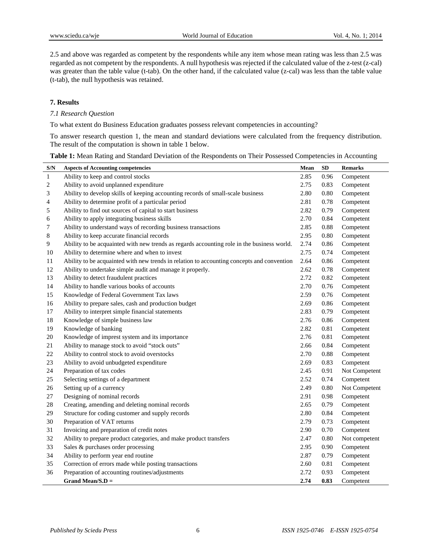2.5 and above was regarded as competent by the respondents while any item whose mean rating was less than 2.5 was regarded as not competent by the respondents. A null hypothesis was rejected if the calculated value of the z-test (z-cal) was greater than the table value (t-tab). On the other hand, if the calculated value (z-cal) was less than the table value (t-tab), the null hypothesis was retained.

### **7. Results**

#### *7.1 Research Question*

To what extent do Business Education graduates possess relevant competencies in accounting?

To answer research question 1, the mean and standard deviations were calculated from the frequency distribution. The result of the computation is shown in table 1 below.

| Table 1: Mean Rating and Standard Deviation of the Respondents on Their Possessed Competencies in Accounting |  |  |
|--------------------------------------------------------------------------------------------------------------|--|--|
|--------------------------------------------------------------------------------------------------------------|--|--|

| S/N          | <b>Aspects of Accounting competencies</b>                                                  | Mean | SD   | <b>Remarks</b> |
|--------------|--------------------------------------------------------------------------------------------|------|------|----------------|
| $\mathbf{1}$ | Ability to keep and control stocks                                                         | 2.85 | 0.96 | Competent      |
| 2            | Ability to avoid unplanned expenditure                                                     | 2.75 | 0.83 | Competent      |
| 3            | Ability to develop skills of keeping accounting records of small-scale business            | 2.80 | 0.80 | Competent      |
| 4            | Ability to determine profit of a particular period                                         | 2.81 | 0.78 | Competent      |
| 5            | Ability to find out sources of capital to start business                                   | 2.82 | 0.79 | Competent      |
| 6            | Ability to apply integrating business skills                                               | 2.70 | 0.84 | Competent      |
| 7            | Ability to understand ways of recording business transactions                              | 2.85 | 0.88 | Competent      |
| 8            | Ability to keep accurate financial records                                                 | 2.95 | 0.80 | Competent      |
| 9            | Ability to be acquainted with new trends as regards accounting role in the business world. | 2.74 | 0.86 | Competent      |
| 10           | Ability to determine where and when to invest                                              | 2.75 | 0.74 | Competent      |
| 11           | Ability to be acquainted with new trends in relation to accounting concepts and convention | 2.64 | 0.86 | Competent      |
| 12           | Ability to undertake simple audit and manage it properly.                                  | 2.62 | 0.78 | Competent      |
| 13           | Ability to detect fraudulent practices                                                     | 2.72 | 0.82 | Competent      |
| 14           | Ability to handle various books of accounts                                                | 2.70 | 0.76 | Competent      |
| 15           | Knowledge of Federal Government Tax laws                                                   | 2.59 | 0.76 | Competent      |
| 16           | Ability to prepare sales, cash and production budget                                       | 2.69 | 0.86 | Competent      |
| 17           | Ability to interpret simple financial statements                                           | 2.83 | 0.79 | Competent      |
| 18           | Knowledge of simple business law                                                           | 2.76 | 0.86 | Competent      |
| 19           | Knowledge of banking                                                                       | 2.82 | 0.81 | Competent      |
| 20           | Knowledge of imprest system and its importance                                             | 2.76 | 0.81 | Competent      |
| 21           | Ability to manage stock to avoid "stock outs"                                              | 2.66 | 0.84 | Competent      |
| 22           | Ability to control stock to avoid overstocks                                               | 2.70 | 0.88 | Competent      |
| 23           | Ability to avoid unbudgeted expenditure                                                    | 2.69 | 0.83 | Competent      |
| 24           | Preparation of tax codes                                                                   | 2.45 | 0.91 | Not Competent  |
| 25           | Selecting settings of a department                                                         | 2.52 | 0.74 | Competent      |
| 26           | Setting up of a currency                                                                   | 2.49 | 0.80 | Not Competent  |
| 27           | Designing of nominal records                                                               | 2.91 | 0.98 | Competent      |
| 28           | Creating, amending and deleting nominal records                                            | 2.65 | 0.79 | Competent      |
| 29           | Structure for coding customer and supply records                                           | 2.80 | 0.84 | Competent      |
| 30           | Preparation of VAT returns                                                                 | 2.79 | 0.73 | Competent      |
| 31           | Invoicing and preparation of credit notes                                                  | 2.90 | 0.70 | Competent      |
| 32           | Ability to prepare product categories, and make product transfers                          | 2.47 | 0.80 | Not competent  |
| 33           | Sales & purchases order processing                                                         | 2.95 | 0.90 | Competent      |
| 34           | Ability to perform year end routine                                                        | 2.87 | 0.79 | Competent      |
| 35           | Correction of errors made while posting transactions                                       | 2.60 | 0.81 | Competent      |
| 36           | Preparation of accounting routines/adjustments                                             | 2.72 | 0.93 | Competent      |
|              | Grand Mean/S.D $=$                                                                         | 2.74 | 0.83 | Competent      |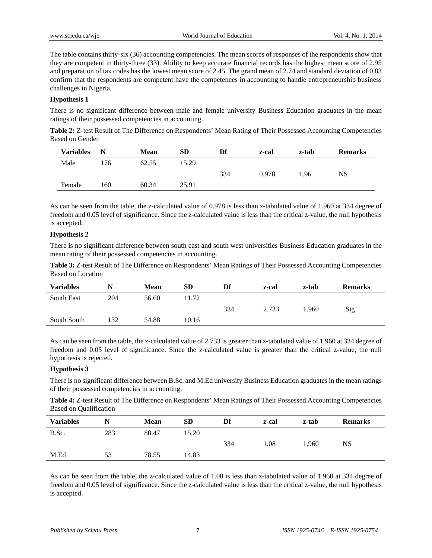The table contains thirty-six (36) accounting competencies. The mean scores of responses of the respondents show that they are competent in thirty-three (33). Ability to keep accurate financial records has the highest mean score of 2.95 and preparation of tax codes has the lowest mean score of 2.45. The grand mean of 2.74 and standard deviation of 0.83 confirm that the respondents are competent have the competences in accounting to handle entrepreneurship business challenges in Nigeria.

## **Hypothesis 1**

There is no significant difference between male and female university Business Education graduates in the mean ratings of their possessed competencies in accounting.

**Table 2:** Z-test Result of The Difference on Respondents' Mean Rating of Their Possessed Accounting Competencies Based on Gender

| <b>Variables</b> | N   | <b>Mean</b> | SD    | Df  | z-cal | z-tab | <b>Remarks</b> |
|------------------|-----|-------------|-------|-----|-------|-------|----------------|
| Male             | 176 | 62.55       | 15.29 |     |       |       |                |
|                  |     |             |       | 334 | 0.978 | 1.96  | NS             |
| Female           | 160 | 60.34       | 25.91 |     |       |       |                |

As can be seen from the table, the z-calculated value of 0.978 is less than z-tabulated value of 1.960 at 334 degree of freedom and 0.05 level of significance. Since the z-calculated value is less than the critical z-value, the null hypothesis is accepted.

## **Hypothesis 2**

There is no significant difference between south east and south west universities Business Education graduates in the mean rating of their possessed competencies in accounting.

**Table 3:** Z-test Result of The Difference on Respondents' Mean Ratings of Their Possessed Accounting Competencies Based on Location

| <b>Variables</b>  |     | Mean  | SD    | Df  | z-cal | z-tab | <b>Remarks</b> |
|-------------------|-----|-------|-------|-----|-------|-------|----------------|
| <b>South East</b> | 204 | 56.60 | 11.72 |     |       |       |                |
|                   |     |       |       | 334 | 2.733 | 1.960 | Sig            |
| South South       | 132 | 54.88 | 10.16 |     |       |       |                |
|                   |     |       |       |     |       |       |                |

As can be seen from the table, the z-calculated value of 2.733 is greater than z-tabulated value of 1.960 at 334 degree of freedom and 0.05 level of significance. Since the z-calculated value is greater than the critical z-value, the null hypothesis is rejected.

# **Hypothesis 3**

There is no significant difference between B.Sc. and M.Ed university Business Education graduates in the mean ratings of their possessed competencies in accounting.

**Table 4:** Z-test Result of The Difference on Respondents' Mean Ratings of Their Possessed Accounting Competencies Based on Qualification

| <b>Variables</b> | N   | <b>Mean</b> | SD    | Df  | z-cal | z-tab | <b>Remarks</b> |
|------------------|-----|-------------|-------|-----|-------|-------|----------------|
| B.Sc.            | 283 | 80.47       | 15.20 |     |       |       |                |
|                  |     |             |       | 334 | .08   | 1.960 | NS             |
| M.Ed             | 53  | 78.55       | 14.83 |     |       |       |                |

As can be seen from the table, the z-calculated value of 1.08 is less than z-tabulated value of 1.960 at 334 degree of freedom and 0.05 level of significance. Since the z-calculated value is less than the critical z-value, the null hypothesis is accepted.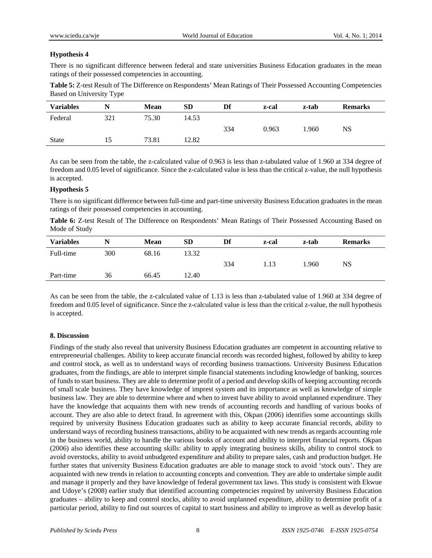# **Hypothesis 4**

There is no significant difference between federal and state universities Business Education graduates in the mean ratings of their possessed competencies in accounting.

**Table 5:** Z-test Result of The Difference on Respondents' Mean Ratings of Their Possessed Accounting Competencies Based on University Type

|     | <b>Mean</b> | <b>SD</b> | Df  | z-cal | z-tab | <b>Remarks</b> |
|-----|-------------|-----------|-----|-------|-------|----------------|
| 321 | 75.30       | 14.53     |     |       |       |                |
|     |             |           | 334 | 0.963 | 1.960 | NS             |
| 15  | 73.81       | 12.82     |     |       |       |                |
|     |             |           |     |       |       |                |

As can be seen from the table, the z-calculated value of 0.963 is less than z-tabulated value of 1.960 at 334 degree of freedom and 0.05 level of significance. Since the z-calculated value is less than the critical z-value, the null hypothesis is accepted.

# **Hypothesis 5**

There is no significant difference between full-time and part-time university Business Education graduates in the mean ratings of their possessed competencies in accounting.

**Table 6:** Z-test Result of The Difference on Respondents' Mean Ratings of Their Possessed Accounting Based on Mode of Study

| <b>Variables</b> | N   | <b>Mean</b> | SD    | Df  | z-cal | z-tab | <b>Remarks</b> |
|------------------|-----|-------------|-------|-----|-------|-------|----------------|
| Full-time        | 300 | 68.16       | 13.32 |     |       |       |                |
|                  |     |             |       | 334 | 1.13  | 1.960 | NS             |
| Part-time        | 36  | 66.45       | 12.40 |     |       |       |                |
|                  |     |             |       |     |       |       |                |

As can be seen from the table, the z-calculated value of 1.13 is less than z-tabulated value of 1.960 at 334 degree of freedom and 0.05 level of significance. Since the z-calculated value is less than the critical z-value, the null hypothesis is accepted.

# **8. Discussion**

Findings of the study also reveal that university Business Education graduates are competent in accounting relative to entrepreneurial challenges. Ability to keep accurate financial records was recorded highest, followed by ability to keep and control stock, as well as to understand ways of recording business transactions. University Business Education graduates, from the findings, are able to interpret simple financial statements including knowledge of banking, sources of funds to start business. They are able to determine profit of a period and develop skills of keeping accounting records of small scale business. They have knowledge of imprest system and its importance as well as knowledge of simple business law. They are able to determine where and when to invest have ability to avoid unplanned expenditure. They have the knowledge that acquaints them with new trends of accounting records and handling of various books of account. They are also able to detect fraud. In agreement with this, Okpan (2006) identifies some accountings skills required by university Business Education graduates such as ability to keep accurate financial records, ability to understand ways of recording business transactions, ability to be acquainted with new trends as regards accounting role in the business world, ability to handle the various books of account and ability to interpret financial reports. Okpan (2006) also identifies these accounting skills: ability to apply integrating business skills, ability to control stock to avoid overstocks, ability to avoid unbudgeted expenditure and ability to prepare sales, cash and production budget. He further states that university Business Education graduates are able to manage stock to avoid 'stock outs'. They are acquainted with new trends in relation to accounting concepts and convention. They are able to undertake simple audit and manage it properly and they have knowledge of federal government tax laws. This study is consistent with Ekwue and Udoye's (2008) earlier study that identified accounting competencies required by university Business Education graduates – ability to keep and control stocks, ability to avoid unplanned expenditure, ability to determine profit of a particular period, ability to find out sources of capital to start business and ability to improve as well as develop basic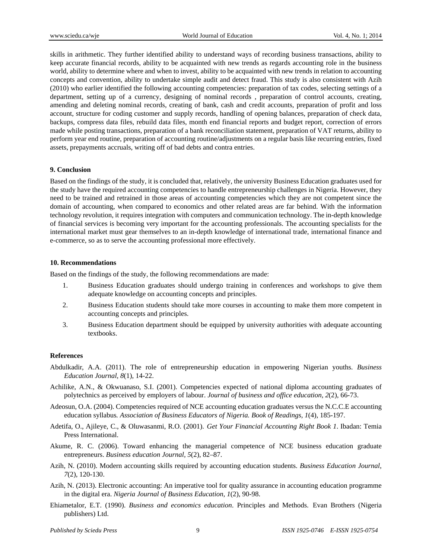skills in arithmetic. They further identified ability to understand ways of recording business transactions, ability to keep accurate financial records, ability to be acquainted with new trends as regards accounting role in the business world, ability to determine where and when to invest, ability to be acquainted with new trends in relation to accounting concepts and convention, ability to undertake simple audit and detect fraud. This study is also consistent with Azih (2010) who earlier identified the following accounting competencies: preparation of tax codes, selecting settings of a department, setting up of a currency, designing of nominal records , preparation of control accounts, creating, amending and deleting nominal records, creating of bank, cash and credit accounts, preparation of profit and loss account, structure for coding customer and supply records, handling of opening balances, preparation of check data, backups, compress data files, rebuild data files, month end financial reports and budget report, correction of errors made while posting transactions, preparation of a bank reconciliation statement, preparation of VAT returns, ability to perform year end routine, preparation of accounting routine/adjustments on a regular basis like recurring entries, fixed assets, prepayments accruals, writing off of bad debts and contra entries.

#### **9. Conclusion**

Based on the findings of the study, it is concluded that, relatively, the university Business Education graduates used for the study have the required accounting competencies to handle entrepreneurship challenges in Nigeria. However, they need to be trained and retrained in those areas of accounting competencies which they are not competent since the domain of accounting, when compared to economics and other related areas are far behind. With the information technology revolution, it requires integration with computers and communication technology. The in-depth knowledge of financial services is becoming very important for the accounting professionals. The accounting specialists for the international market must gear themselves to an in-depth knowledge of international trade, international finance and e-commerce, so as to serve the accounting professional more effectively.

#### **10. Recommendations**

Based on the findings of the study, the following recommendations are made:

- 1. Business Education graduates should undergo training in conferences and workshops to give them adequate knowledge on accounting concepts and principles.
- 2. Business Education students should take more courses in accounting to make them more competent in accounting concepts and principles.
- 3. Business Education department should be equipped by university authorities with adequate accounting textbooks.

#### **References**

- Abdulkadir, A.A. (2011). The role of entrepreneurship education in empowering Nigerian youths. *Business Education Journal, 8*(1), 14-22.
- Achilike, A.N., & Okwuanaso, S.I. (2001). Competencies expected of national diploma accounting graduates of polytechnics as perceived by employers of labour. *Journal of business and office education, 2*(2), 66-73.
- Adeosun, O.A. (2004). Competencies required of NCE accounting education graduates versus the N.C.C.E accounting education syllabus*. Association of Business Educators of Nigeria. Book of Readings, 1*(4), 185-197.
- Adetifa, O., Ajileye, C., & Oluwasanmi, R.O. (2001). *Get Your Financial Accounting Right Book 1*. Ibadan: Temia Press International.
- Akume, R. C. (2006). Toward enhancing the managerial competence of NCE business education graduate entrepreneurs. *Business education Journal, 5*(2), 82–87.
- Azih, N. (2010). Modern accounting skills required by accounting education students. *Business Education Journal*, *7*(2), 120-130.
- Azih, N. (2013). Electronic accounting: An imperative tool for quality assurance in accounting education programme in the digital era. *Nigeria Journal of Business Education*, *1*(2), 90-98.
- Ehiametalor, E.T. (1990). *Business and economics education*. Principles and Methods. Evan Brothers (Nigeria publishers) Ltd.